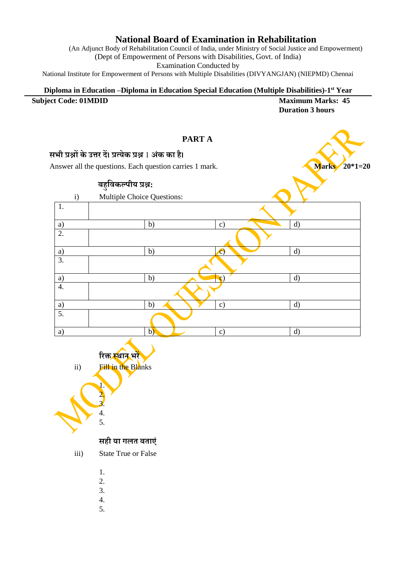## **National Board of Examination in Rehabilitation**

(An Adjunct Body of Rehabilitation Council of India, under Ministry of Social Justice and Empowerment) (Dept of Empowerment of Persons with Disabilities, Govt. of India) Examination Conducted by

National Institute for Empowerment of Persons with Multiple Disabilities (DIVYANGJAN) (NIEPMD) Chennai

## **Diploma in Education –Diploma in Education Special Education (Multiple Disabilities)-1 st Year Subject Code: 01MDID Maximum Marks: 45 Duration 3 hours**